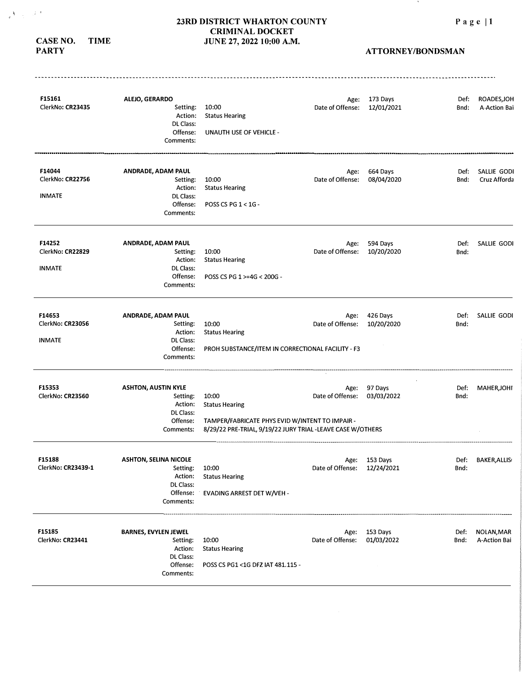**ATTORNEY/BONDSMAN** 

 $\mathcal{N}$ 

| F15161<br>ClerkNo: CR23435                  | ALEJO, GERARDO<br>Setting:<br>Action:<br>DL Class:<br>Offense:<br>Comments:               | 10:00<br><b>Status Hearing</b><br><b>UNAUTH USE OF VEHICLE -</b>                                                                                | Age:<br>Date of Offense: | 173 Days<br>12/01/2021 | Def:<br>Bnd: | ROADES, JOH<br>A-Action Bai |
|---------------------------------------------|-------------------------------------------------------------------------------------------|-------------------------------------------------------------------------------------------------------------------------------------------------|--------------------------|------------------------|--------------|-----------------------------|
| F14044<br>ClerkNo: CR22756<br><b>INMATE</b> | ANDRADE, ADAM PAUL<br>Setting:<br>Action:<br>DL Class:<br>Offense:<br>Comments:           | 10:00<br><b>Status Hearing</b><br>POSS CS PG 1 < 1G -                                                                                           | Age:<br>Date of Offense: | 664 Days<br>08/04/2020 | Def:<br>Bnd: | SALLIE GODI<br>Cruz Afforda |
| F14252<br>ClerkNo: CR22829<br><b>INMATE</b> | ANDRADE, ADAM PAUL<br>Setting:<br>Action:<br>DL Class:<br>Offense:<br>Comments:           | 10:00<br><b>Status Hearing</b><br>POSS CS PG 1 >=4G < 200G -                                                                                    | Age:<br>Date of Offense: | 594 Days<br>10/20/2020 | Def:<br>Bnd: | SALLIE GODI                 |
| F14653<br>ClerkNo: CR23056<br><b>INMATE</b> | ANDRADE, ADAM PAUL<br>Setting:<br>Action:<br>DL Class:<br>Offense:<br>Comments:           | 10:00<br><b>Status Hearing</b><br>PROH SUBSTANCE/ITEM IN CORRECTIONAL FACILITY - F3                                                             | Age:<br>Date of Offense: | 426 Days<br>10/20/2020 | Def:<br>Bnd: | SALLIE GODI                 |
| F15353<br>ClerkNo: CR23560                  | <b>ASHTON, AUSTIN KYLE</b><br>Setting:<br>Action:<br>DL Class:<br>Offense:<br>Comments:   | 10:00<br><b>Status Hearing</b><br>TAMPER/FABRICATE PHYS EVID W/INTENT TO IMPAIR -<br>8/29/22 PRE-TRIAL, 9/19/22 JURY TRIAL -LEAVE CASE W/OTHERS | Age:<br>Date of Offense: | 97 Days<br>03/03/2022  | Def:<br>Bnd: | <b>MAHER, JOHI</b>          |
| F15188<br>ClerkNo: CR23439-1                | <b>ASHTON, SELINA NICOLE</b><br>Setting:<br>Action:<br>DL Class:<br>Offense:<br>Comments: | 10:00<br><b>Status Hearing</b><br>EVADING ARREST DET W/VEH -                                                                                    | Age:<br>Date of Offense: | 153 Days<br>12/24/2021 | Def:<br>Bnd: | <b>BAKER, ALLIS</b>         |
| F15185<br>ClerkNo: CR23441                  | <b>BARNES, EVYLEN JEWEL</b><br>Setting:<br>Action:<br>DL Class:<br>Offense:<br>Comments:  | 10:00<br><b>Status Hearing</b><br>POSS CS PG1 <1G DF2 IAT 481.115 -                                                                             | Age:<br>Date of Offense: | 153 Days<br>01/03/2022 | Def:<br>Bnd: | NOLAN, MAR<br>A-Action Bai  |

# **CASE NO. TIME**

# **PARTY**

 $\sqrt{\lambda_{\rm max}^2/2^{1/2}}$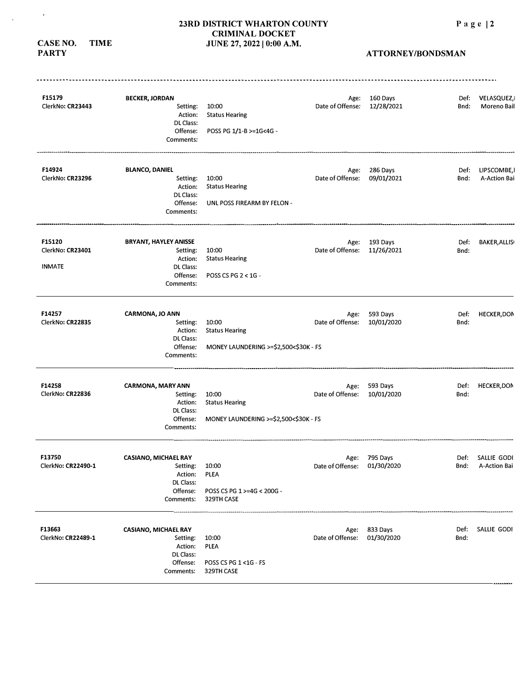#### **23RD DISTRICT WHARTON COUNTY CRIMINAL DOCKET CASE NO. TIME** *JUNE 27, 2022* **| 0:00 A.M.**

**PARTY** 

 $\mathfrak{g}^{\pm}$ 

 $\alpha$ 

| F15179                       | <b>BECKER, JORDAN</b>        |                                          | Age:                        | 160 Days      | Def: | VELASQUEZ,          |
|------------------------------|------------------------------|------------------------------------------|-----------------------------|---------------|------|---------------------|
| ClerkNo: CR23443             | Setting:                     | 10:00                                    | Date of Offense:            | 12/28/2021    | Bnd: | Moreno Bail         |
|                              | Action:<br>DL Class:         | <b>Status Hearing</b>                    |                             |               |      |                     |
|                              | Offense:                     | POSS PG 1/1-B >=1G<4G -                  |                             |               |      |                     |
|                              | Comments:                    |                                          |                             |               |      |                     |
| F14924                       | <b>BLANCO, DANIEL</b>        |                                          | Age:                        | 286 Days      | Def: | LIPSCOMBE, I        |
| ClerkNo: CR23296             | Setting:                     | 10:00                                    | Date of Offense:            | 09/01/2021    | Bnd: | A-Action Bai        |
|                              | Action:                      | <b>Status Hearing</b>                    |                             |               |      |                     |
|                              | DL Class:<br>Offense:        | UNL POSS FIREARM BY FELON -              |                             |               |      |                     |
|                              | Comments:                    |                                          |                             |               |      |                     |
| F15120                       | <b>BRYANT, HAYLEY ANISSE</b> |                                          |                             | Age: 193 Days | Def: | <b>BAKER, ALLIS</b> |
| ClerkNo: CR23401             | Setting:                     | 10:00                                    | Date of Offense:            | 11/26/2021    | Bnd: |                     |
|                              | Action:                      | <b>Status Hearing</b>                    |                             |               |      |                     |
| <b>INMATE</b>                | DL Class:                    |                                          |                             |               |      |                     |
|                              | Offense:<br>Comments:        | POSS CS PG 2 < 1G -                      |                             |               |      |                     |
| F14257                       | CARMONA, JO ANN              |                                          | Age:                        | 593 Days      | Def: | <b>HECKER, DON</b>  |
| ClerkNo: CR22835             | Setting:                     | 10:00                                    | Date of Offense:            | 10/01/2020    | Bnd: |                     |
|                              | Action:                      | <b>Status Hearing</b>                    |                             |               |      |                     |
|                              | DL Class:                    |                                          |                             |               |      |                     |
|                              | Offense:<br>Comments:        | MONEY LAUNDERING >=\$2,500<\$30K - FS    |                             |               |      |                     |
| F14258                       | <b>CARMONA, MARY ANN</b>     |                                          |                             | 593 Days      | Def: | <b>HECKER,DON</b>   |
| ClerkNo: CR22836             | Setting:                     | 10:00                                    | Age:<br>Date of Offense:    | 10/01/2020    | Bnd: |                     |
|                              | Action:                      | <b>Status Hearing</b>                    |                             |               |      |                     |
|                              | DL Class:                    |                                          |                             |               |      |                     |
|                              | Offense:<br>Comments:        | MONEY LAUNDERING >=\$2,500<\$30K - FS    |                             |               |      |                     |
| F13750                       | <b>CASIANO, MICHAEL RAY</b>  |                                          | Age:                        | 795 Days      | Def: | SALLIE GODI         |
| ClerkNo: CR22490-1           | Setting:                     | 10:00                                    | Date of Offense: 01/30/2020 |               | Bnd: | A-Action Bai        |
|                              | Action:                      | PLEA                                     |                             |               |      |                     |
|                              | DL Class:                    |                                          |                             |               |      |                     |
|                              | Offense:<br>Comments:        | POSS CS PG 1 >=4G < 200G -<br>329TH CASE |                             |               |      |                     |
|                              | <b>CASIANO, MICHAEL RAY</b>  |                                          | Age:                        | 833 Days      | Def: | SALLIE GODI         |
|                              | Setting:                     | 10:00                                    | Date of Offense:            | 01/30/2020    | Bnd: |                     |
|                              |                              |                                          |                             |               |      |                     |
|                              | Action:                      | PLEA                                     |                             |               |      |                     |
| F13663<br>ClerkNo: CR22489-1 | DL Class:<br>Offense:        | POSS CS PG 1 < 1G - FS                   |                             |               |      |                     |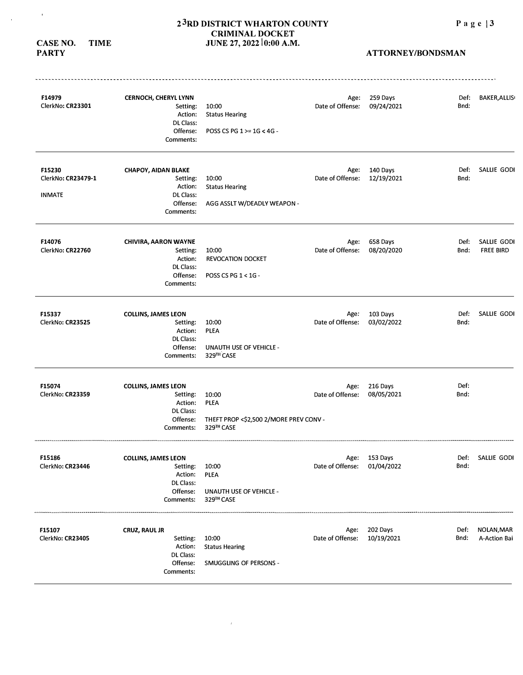# 2<sup>3</sup>RD DISTRICT WHARTON COUNTY Page | 3 **CRIMINAL DOCKET JUNE 27, 2022 10:00 A.M.**

**CASE NO. TIME PARTY** 

 $\overline{\phantom{a}}$ 

| F14979<br>ClerkNo: CR23301                    | <b>CERNOCH, CHERYL LYNN</b><br>Setting:<br>Action:<br>DL Class:<br>Offense:<br>Comments: | 10:00<br><b>Status Hearing</b><br>POSS CS PG 1 >= 1G < 4G -                 | Age:<br>Date of Offense: | 259 Days<br>09/24/2021      | Def:<br>Bnd: | <b>BAKER, ALLIS</b>             |
|-----------------------------------------------|------------------------------------------------------------------------------------------|-----------------------------------------------------------------------------|--------------------------|-----------------------------|--------------|---------------------------------|
| F15230<br>ClerkNo: CR23479-1<br><b>INMATE</b> | <b>CHAPOY, AIDAN BLAKE</b><br>Setting:<br>Action:<br>DL Class:<br>Offense:<br>Comments:  | 10:00<br><b>Status Hearing</b><br>AGG ASSLT W/DEADLY WEAPON -               | Age:<br>Date of Offense: | 140 Days<br>12/19/2021      | Def:<br>Bnd: | SALLIE GODI                     |
| F14076<br>ClerkNo: CR22760                    | <b>CHIVIRA, AARON WAYNE</b><br>Setting:<br>Action:<br>DL Class:<br>Offense:<br>Comments: | 10:00<br><b>REVOCATION DOCKET</b><br>POSS CS PG 1 < 1G -                    | Age:<br>Date of Offense: | 658 Days<br>08/20/2020      | Def:<br>Bnd: | SALLIE GODI<br><b>FREE BIRD</b> |
| F15337<br>ClerkNo: CR23525                    | <b>COLLINS, JAMES LEON</b><br>Setting:<br>Action:<br>DL Class:<br>Offense:<br>Comments:  | 10:00<br><b>PLEA</b><br><b>UNAUTH USE OF VEHICLE -</b><br>329TH CASE        | Age:<br>Date of Offense: | 103 Days<br>03/02/2022      | Def:<br>Bnd: | SALLIE GODI                     |
| F15074<br>ClerkNo: CR23359                    | <b>COLLINS, JAMES LEON</b><br>Setting:<br>Action:<br>DL Class:<br>Offense:<br>Comments:  | 10:00<br><b>PLEA</b><br>THEFT PROP <\$2,500 2/MORE PREV CONV -<br>329™ CASE | Age:<br>Date of Offense: | 216 Days<br>08/05/2021      | Def:<br>Bnd: |                                 |
| F15186<br>ClerkNo: CR23446                    | <b>COLLINS, JAMES LEON</b><br>Setting:<br>Action:<br>DL Class:<br>Offense:<br>Comments:  | 10:00<br><b>PLEA</b><br><b>UNAUTH USE OF VEHICLE -</b><br>329TH CASE        | Date of Offense:         | Age: 153 Days<br>01/04/2022 | Def:<br>Bnd: | SALLIE GODI                     |
| F15107<br>ClerkNo: CR23405                    | CRUZ, RAUL JR<br>Setting:<br>Action:<br>DL Class:<br>Offense:<br>Comments:               | 10:00<br><b>Status Hearing</b><br>SMUGGLING OF PERSONS -                    | Age:<br>Date of Offense: | 202 Days<br>10/19/2021      | Def:<br>Bnd: | NOLAN, MAR<br>A-Action Bai      |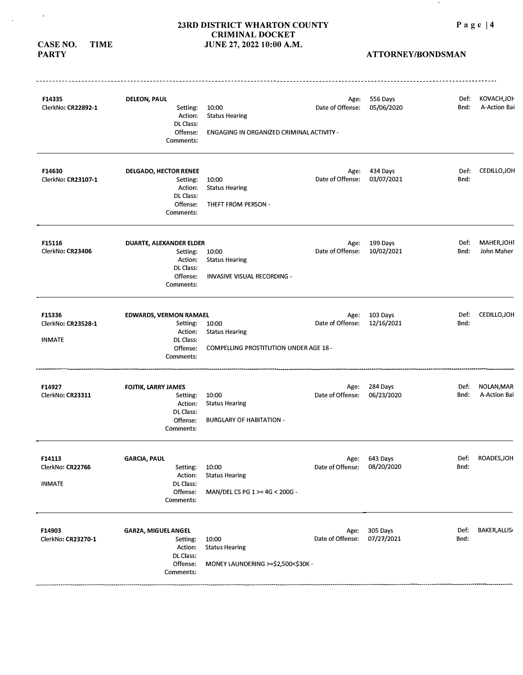**CASE NO. TIME** 

 $\sim$   $\alpha$ 

 $\sim$   $\sim$ 

# **ATTORNEY/BONDSMAN**

**Contract** 

| F14335<br>ClerkNo: CR22892-1                  | <b>DELEON, PAUL</b><br>Setting:<br>Action:<br>DL Class:<br>Offense:<br>Comments:           | 10:00<br><b>Status Hearing</b><br>ENGAGING IN ORGANIZED CRIMINAL ACTIVITY - | Age:<br>Date of Offense:    | 556 Days<br>05/06/2020 | Def:<br>Bnd: | KOVACH, JOI-<br>A-Action Bai |
|-----------------------------------------------|--------------------------------------------------------------------------------------------|-----------------------------------------------------------------------------|-----------------------------|------------------------|--------------|------------------------------|
| F14630<br>ClerkNo: CR23107-1                  | <b>DELGADO, HECTOR RENEE</b><br>Setting:<br>Action:<br>DL Class:<br>Offense:<br>Comments:  | 10:00<br><b>Status Hearing</b><br>THEFT FROM PERSON -                       | Age:<br>Date of Offense:    | 434 Days<br>03/07/2021 | Def:<br>Bnd: | CEDILLO, JOH                 |
| F15116<br>ClerkNo: CR23406                    | DUARTE, ALEXANDER ELDER<br>Setting:<br>Action:<br>DL Class:<br>Offense:<br>Comments:       | 10:00<br><b>Status Hearing</b><br><b>INVASIVE VISUAL RECORDING -</b>        | Age:<br>Date of Offense:    | 199 Days<br>10/02/2021 | Def:<br>Bnd: | MAHER, JOH!<br>John Maher    |
| F15336<br>ClerkNo: CR23528-1<br><b>INMATE</b> | <b>EDWARDS, VERMON RAMAEL</b><br>Setting:<br>Action:<br>DL Class:<br>Offense:<br>Comments: | 10:00<br><b>Status Hearing</b><br>COMPELLING PROSTITUTION UNDER AGE 18 -    | Age:<br>Date of Offense:    | 103 Days<br>12/16/2021 | Def:<br>Bnd: | CEDILLO, JOH                 |
| F14927<br>ClerkNo: CR23311                    | <b>FOJTIK, LARRY JAMES</b><br>Setting:<br>Action:<br>DL Class:<br>Offense:<br>Comments:    | 10:00<br><b>Status Hearing</b><br><b>BURGLARY OF HABITATION -</b>           | Age:<br>Date of Offense:    | 284 Days<br>06/23/2020 | Def:<br>Bnd: | NOLAN, MAR<br>A-Action Bai   |
| F14113<br>ClerkNo: CR22766<br><b>INMATE</b>   | <b>GARCIA, PAUL</b><br>Setting:<br>Action:<br>DL Class:<br>Offense:<br>Comments:           | 10:00<br><b>Status Hearing</b><br>MAN/DEL CS PG 1 >= 4G < 200G -            | Date of Offense: 08/20/2020 | Age: 643 Days          | Def:<br>Bnd: | ROADES, JOH                  |
| F14903<br>ClerkNo: CR23270-1                  | GARZA, MIGUEL ANGEL<br>Setting:<br>Action:<br>DL Class:<br>Offense:<br>Comments:           | 10:00<br><b>Status Hearing</b><br>MONEY LAUNDERING >=\$2,500<\$30K -        | Age:<br>Date of Offense:    | 305 Days<br>07/27/2021 | Def:<br>Bnd: | <b>BAKER, ALLIS</b>          |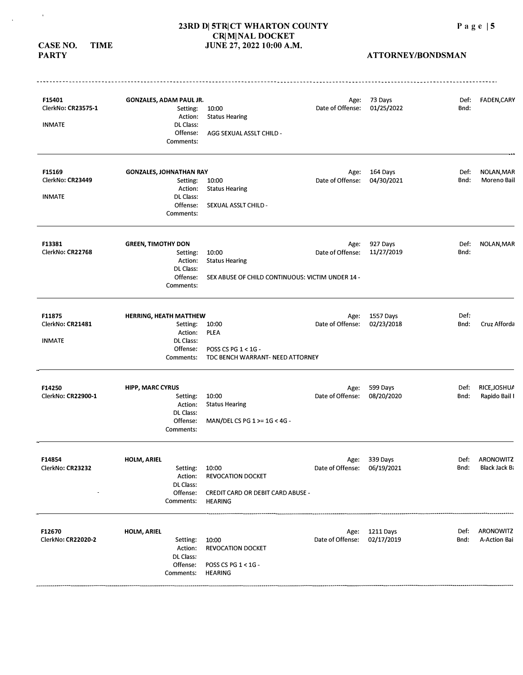**CASE NO. TIME PARTY** 

 $\mathcal{A}^{\pm}$ 

 $\mathcal{L}_{\mathbf{p}}$ 

| F15401<br>ClerkNo: CR23575-1 | <b>GONZALES, ADAM PAUL JR.</b><br>Setting: | 10:00                                                      | Age:<br>Date of Offense: | 73 Days<br>01/25/2022 | Def:<br>Bnd: | <b>FADEN, CARY</b>   |
|------------------------------|--------------------------------------------|------------------------------------------------------------|--------------------------|-----------------------|--------------|----------------------|
|                              | Action:                                    | <b>Status Hearing</b>                                      |                          |                       |              |                      |
| <b>INMATE</b>                | DL Class:<br>Offense:                      | AGG SEXUAL ASSLT CHILD -                                   |                          |                       |              |                      |
|                              | Comments:                                  |                                                            |                          |                       |              |                      |
| F15169                       | <b>GONZALES, JOHNATHAN RAY</b>             |                                                            | Age:                     | 164 Days              | Def:         | NOLAN, MAR           |
| ClerkNo: CR23449             | Setting:                                   | 10:00                                                      | Date of Offense:         | 04/30/2021            | Bnd:         | <b>Moreno Bail</b>   |
| <b>INMATE</b>                | Action:<br>DL Class:                       | <b>Status Hearing</b>                                      |                          |                       |              |                      |
|                              | Offense:<br>Comments:                      | SEXUAL ASSLT CHILD -                                       |                          |                       |              |                      |
| F13381                       | <b>GREEN, TIMOTHY DON</b>                  |                                                            | Age:                     | 927 Days              | Def:         | NOLAN, MAR           |
| ClerkNo: CR22768             | Setting:                                   | 10:00                                                      | Date of Offense:         | 11/27/2019            | Bnd:         |                      |
|                              | Action:<br>DL Class:                       | <b>Status Hearing</b>                                      |                          |                       |              |                      |
|                              | Offense:<br>Comments:                      | SEX ABUSE OF CHILD CONTINUOUS: VICTIM UNDER 14 -           |                          |                       |              |                      |
| F11875                       | <b>HERRING, HEATH MATTHEW</b>              |                                                            | Age:                     | 1557 Days             | Def:         |                      |
| ClerkNo: CR21481             | Setting:                                   | 10:00                                                      | Date of Offense:         | 02/23/2018            | Bnd:         | Cruz Afforda         |
| <b>INMATE</b>                | Action:<br><b>DL Class:</b>                | <b>PLEA</b>                                                |                          |                       |              |                      |
|                              | Offense:<br>Comments:                      | POSS CS PG $1 < 1$ G -<br>TDC BENCH WARRANT- NEED ATTORNEY |                          |                       |              |                      |
| F14250                       | <b>HIPP, MARC CYRUS</b>                    |                                                            | Age:                     | 599 Days              | Def:         | RICE, JOSHUA         |
| ClerkNo: CR22900-1           | Setting:                                   | 10:00                                                      | Date of Offense:         | 08/20/2020            | Bnd:         | Rapido Bail I        |
|                              | Action:                                    | <b>Status Hearing</b>                                      |                          |                       |              |                      |
|                              | DL Class:<br>Offense:<br>Comments:         | MAN/DEL CS PG 1 >= 1G < 4G -                               |                          |                       |              |                      |
| F14854                       | <b>HOLM, ARIEL</b>                         |                                                            |                          | Age: 339 Days         | Def:         | ARONOWITZ            |
| ClerkNo: CR23232             | Setting:<br>Action:<br>DL Class:           | 10:00<br><b>REVOCATION DOCKET</b>                          | Date of Offense:         | 06/19/2021            | Bnd:         | <b>Black Jack B:</b> |
|                              | Offense:<br>Comments:                      | <b>CREDIT CARD OR DEBIT CARD ABUSE -</b><br><b>HEARING</b> |                          |                       |              |                      |
| F12670                       | <b>HOLM, ARIEL</b>                         |                                                            |                          | Age: 1211 Days        | Def:         | <b>ARONOWITZ</b>     |
| ClerkNo: CR22020-2           | Setting:<br>Action:                        | 10:00                                                      | Date of Offense:         | 02/17/2019            | Bnd:         | A-Action Bai         |
|                              | DL Class:                                  | REVOCATION DOCKET                                          |                          |                       |              |                      |
|                              | Offense:<br>Comments:                      | POSS CS PG 1 < 1G -<br><b>HEARING</b>                      |                          |                       |              |                      |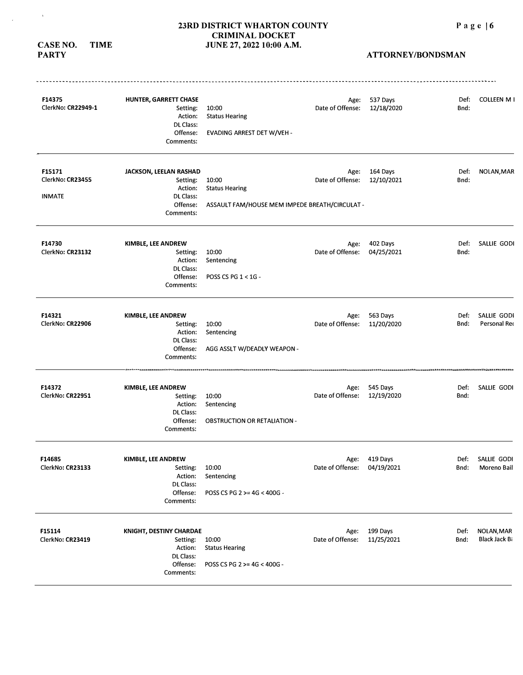**CASE NO. TIME PARTY** 

 $\sim$   $\delta$  .

 $\sim 10^7$ 

| F14375<br>ClerkNo: CR22949-1                | HUNTER, GARRETT CHASE<br>Setting:<br>Action:<br>DL Class:<br>Offense:<br>Comments:          | 10:00<br><b>Status Hearing</b><br>EVADING ARREST DET W/VEH -                     | Age:<br>Date of Offense:    | 537 Days<br>12/18/2020      | Def:<br>Bnd: | COLLEEN M I                        |
|---------------------------------------------|---------------------------------------------------------------------------------------------|----------------------------------------------------------------------------------|-----------------------------|-----------------------------|--------------|------------------------------------|
| F15171<br>ClerkNo: CR23455<br><b>INMATE</b> | JACKSON, LEELAN RASHAD<br>Setting:<br>Action:<br>DL Class:<br>Offense:<br>Comments:         | 10:00<br><b>Status Hearing</b><br>ASSAULT FAM/HOUSE MEM IMPEDE BREATH/CIRCULAT - | Age:<br>Date of Offense:    | 164 Days<br>12/10/2021      | Def:<br>Bnd: | NOLAN, MAR                         |
| F14730<br>ClerkNo: CR23132                  | KIMBLE, LEE ANDREW<br>Setting:<br>Action:<br><b>DL Class:</b><br>Offense:<br>Comments:      | 10:00<br>Sentencing<br>POSS CS PG 1 < 1G -                                       | Age:<br>Date of Offense:    | 402 Days<br>04/25/2021      | Def:<br>Bnd: | SALLIE GODI                        |
| F14321<br>ClerkNo: CR22906                  | KIMBLE, LEE ANDREW<br>Setting:<br>Action:<br><b>DL Class:</b><br>Offense:<br>Comments:      | 10:00<br>Sentencing<br>AGG ASSLT W/DEADLY WEAPON -                               | Age:<br>Date of Offense:    | 563 Days<br>11/20/2020      | Def:<br>Bnd: | SALLIE GODI<br>Personal Red        |
| F14372<br>ClerkNo: CR22951                  | KIMBLE, LEE ANDREW<br>Setting:<br>Action:<br>DL Class:<br>Offense:<br>Comments:             | 10:00<br>Sentencing<br><b>OBSTRUCTION OR RETALIATION -</b>                       | Age:<br>Date of Offense:    | 545 Days<br>12/19/2020      | Def:<br>Bnd: | SALLIE GODI                        |
| F14685<br>ClerkNo: CR23133                  | KIMBLE, LEE ANDREW<br>Setting:<br>Action:<br>DL Class:<br>Offense:<br>Comments:             | 10:00<br>Sentencing<br>POSS CS PG 2 >= 4G < 400G -                               | Date of Offense: 04/19/2021 | Age: 419 Days               | Bnd:         | Def: SALLIE GODI<br>Moreno Bail    |
| F15114<br>ClerkNo: CR23419                  | KNIGHT, DESTINY CHARDAE<br>Setting:<br>Action:<br><b>DL Class:</b><br>Offense:<br>Comments: | 10:00<br><b>Status Hearing</b><br>POSS CS PG 2 >= 4G < 400G -                    | Date of Offense:            | Age: 199 Days<br>11/25/2021 | Def:<br>Bnd: | NOLAN, MAR<br><b>Black Jack Bi</b> |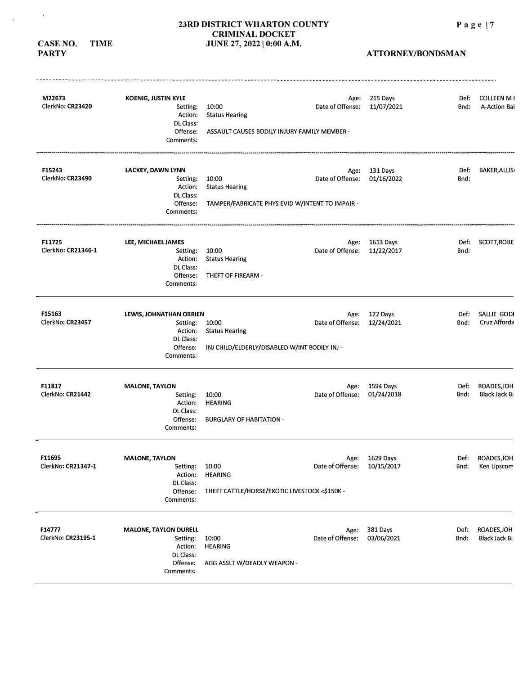**CASE NO. TIME PARTY** 

 $\mathbf{v}$ 

 $\bar{\mathbf{r}}$ 

| M22673<br>ClerkNo: CR23420   | <b>KOENIG, JUSTIN KYLE</b><br>Setting:<br>Action:<br>DL Class:<br>Offense:<br>Comments:   | 10:00<br><b>Status Hearing</b><br>ASSAULT CAUSES BODILY INJURY FAMILY MEMBER -    | Age:<br>Date of Offense: | 215 Days<br>11/07/2021       | Def:<br>Bnd: | <b>COLLEEN MI</b><br>A-Action Bai   |
|------------------------------|-------------------------------------------------------------------------------------------|-----------------------------------------------------------------------------------|--------------------------|------------------------------|--------------|-------------------------------------|
| F15243<br>ClerkNo: CR23490   | LACKEY, DAWN LYNN<br>Setting:<br>Action:<br>DL Class:<br>Offense:<br>Comments:            | 10:00<br><b>Status Hearing</b><br>TAMPER/FABRICATE PHYS EVID W/INTENT TO IMPAIR - | Age:<br>Date of Offense: | 131 Days<br>01/16/2022       | Def:<br>Bnd: | <b>BAKER, ALLIS</b>                 |
| F11725<br>ClerkNo: CR21346-1 | LEE, MICHAEL JAMES<br>Setting:<br>Action:<br>DL Class:<br>Offense:<br>Comments:           | 10:00<br><b>Status Hearing</b><br>THEFT OF FIREARM -                              | Age:<br>Date of Offense: | 1613 Days<br>11/22/2017      | Def:<br>Bnd: | SCOTT, ROBE                         |
| F15163<br>ClerkNo: CR23457   | LEWIS, JOHNATHAN OBRIEN<br>Setting:<br>Action:<br>DL Class:<br>Offense:<br>Comments:      | 10:00<br><b>Status Hearing</b><br>INJ CHILD/ELDERLY/DISABLED W/INT BODILY INJ -   | Age:<br>Date of Offense: | 172 Days<br>12/24/2021       | Def:<br>Bnd: | SALLIE GODI<br>Cruz Afforda         |
| F11817<br>ClerkNo: CR21442   | <b>MALONE, TAYLON</b><br>Setting:<br>Action:<br>DL Class:<br>Offense:<br>Comments:        | 10:00<br><b>HEARING</b><br><b>BURGLARY OF HABITATION -</b>                        | Age:<br>Date of Offense: | 1594 Days<br>01/24/2018      | Def:<br>Bnd: | ROADES, JOH<br><b>Black Jack Ba</b> |
| F11695<br>ClerkNo: CR21347-1 | <b>MALONE, TAYLON</b><br>Setting:<br>Action:<br><b>DL</b> Class:<br>Offense:<br>Comments: | 10:00<br><b>HEARING</b><br>THEFT CATTLE/HORSE/EXOTIC LIVESTOCK <\$150K -          | Date of Offense:         | Age: 1629 Days<br>10/15/2017 | Bnd:         | Def: ROADES, JOH<br>Ken Lipscom     |
| F14777<br>ClerkNo: CR23195-1 | <b>MALONE, TAYLON DURELL</b><br>Setting:<br>Action:<br>DL Class:<br>Offense:<br>Comments: | 10:00<br><b>HEARING</b><br>AGG ASSLT W/DEADLY WEAPON -                            | Age:<br>Date of Offense: | 381 Days<br>03/06/2021       | Def:<br>Bnd: | ROADES, JOH<br><b>Black Jack Bi</b> |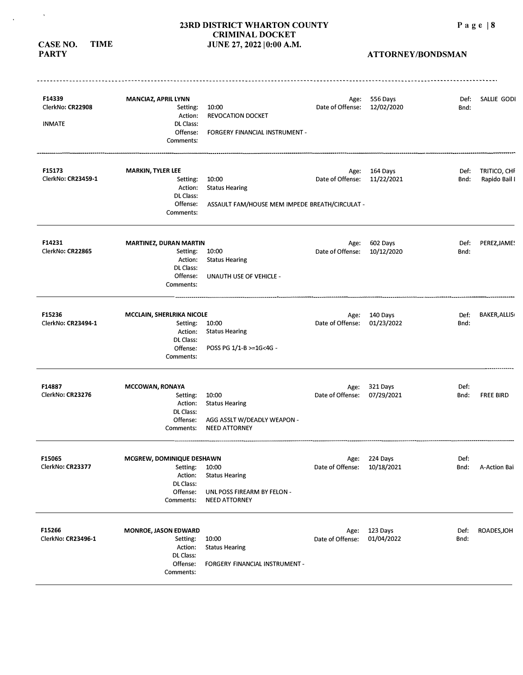# **23RD DISTRICT WHARTON COUNTY CRIMINAL DOCKET CASE NO. TIME** *JUNE 27, 2022 | 0:00 A.M.*

**PARTY** 

 $\sim$   $\sim$ 

 $\sim$ 

| F14339<br>ClerkNo: CR22908<br><b>INMATE</b> | MANCIAZ, APRIL LYNN<br>Setting:<br>Action:<br>DL Class:<br>Offense:<br>Comments:       | 10:00<br><b>REVOCATION DOCKET</b><br>FORGERY FINANCIAL INSTRUMENT -                   | Age:<br>Date of Offense: | 556 Days<br>12/02/2020      | Def:<br>Bnd: | SALLIE GODI                   |
|---------------------------------------------|----------------------------------------------------------------------------------------|---------------------------------------------------------------------------------------|--------------------------|-----------------------------|--------------|-------------------------------|
| F15173<br>ClerkNo: CR23459-1                | <b>MARKIN, TYLER LEE</b><br>Setting:<br>Action:<br>DL Class:<br>Offense:<br>Comments:  | 10:00<br><b>Status Hearing</b><br>ASSAULT FAM/HOUSE MEM IMPEDE BREATH/CIRCULAT -      | Age:<br>Date of Offense: | 164 Days<br>11/22/2021      | Def:<br>Bnd: | TRITICO, CHF<br>Rapido Bail I |
| F14231<br>ClerkNo: CR22865                  | MARTINEZ, DURAN MARTIN<br>Setting:<br>Action:<br>DL Class:<br>Offense:<br>Comments:    | 10:00<br><b>Status Hearing</b><br>UNAUTH USE OF VEHICLE -                             | Age:<br>Date of Offense: | 602 Days<br>10/12/2020      | Def:<br>Bnd: | PEREZ, JAME!                  |
| F15236<br>ClerkNo: CR23494-1                | MCCLAIN, SHERLRIKA NICOLE<br>Setting:<br>Action:<br>DL Class:<br>Offense:<br>Comments: | 10:00<br><b>Status Hearing</b><br>POSS PG 1/1-B >=1G<4G -                             | Age:<br>Date of Offense: | 140 Days<br>01/23/2022      | Def:<br>Bnd: | <b>BAKER, ALLIS</b>           |
| F14887<br>ClerkNo: CR23276                  | <b>MCCOWAN, RONAYA</b><br>Setting:<br>Action:<br>DL Class:<br>Offense:<br>Comments:    | 10:00<br><b>Status Hearing</b><br>AGG ASSLT W/DEADLY WEAPON -<br><b>NEED ATTORNEY</b> | Age:<br>Date of Offense: | 321 Days<br>07/29/2021      | Def:<br>Bnd: | <b>FREE BIRD</b>              |
| F15065<br>ClerkNo: CR23377                  | MCGREW, DOMINIQUE DESHAWN<br>Setting:<br>Action:<br>DL Class:<br>Offense:<br>Comments: | 10:00<br><b>Status Hearing</b><br>UNL POSS FIREARM BY FELON -<br><b>NEED ATTORNEY</b> | Date of Offense:         | Age: 224 Days<br>10/18/2021 | Def:<br>Bnd: | A-Action Bai                  |
| F15266<br>ClerkNo: CR23496-1                | MONROE, JASON EDWARD<br>Setting:<br>Action:<br>DL Class:<br>Offense:<br>Comments:      | 10:00<br><b>Status Hearing</b><br>FORGERY FINANCIAL INSTRUMENT -                      | Age:<br>Date of Offense: | 123 Days<br>01/04/2022      | Def:<br>Bnd: | ROADES, JOH                   |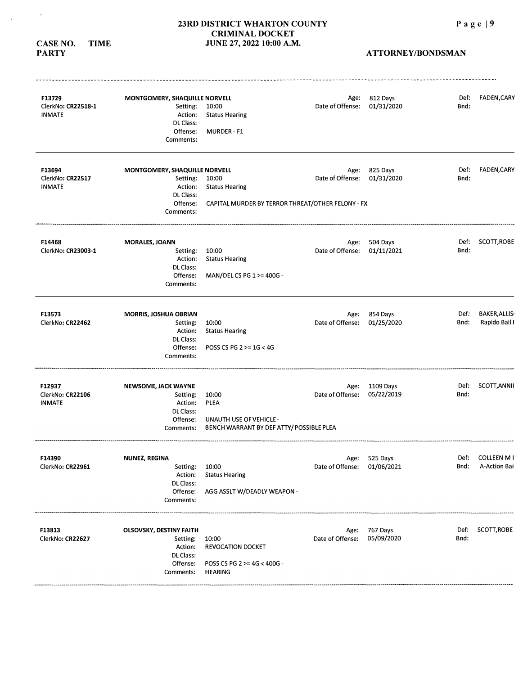**CASE NO. TIME** 

 $\sim$   $\lambda$  .

 $\sim 10^7$ 

| F13729<br>ClerkNo: CR22518-1<br><b>INMATE</b> | MONTGOMERY, SHAQUILLE NORVELL<br>Setting:<br>Action:<br>DL Class:<br>Offense:<br>Comments:     | 10:00<br><b>Status Hearing</b><br>MURDER - F1                                                     | Date of Offense:                    | Age: 812 Days<br>01/31/2020  | Def:<br>Bnd: | FADEN, CARY                          |
|-----------------------------------------------|------------------------------------------------------------------------------------------------|---------------------------------------------------------------------------------------------------|-------------------------------------|------------------------------|--------------|--------------------------------------|
| F13694<br>ClerkNo: CR22517<br><b>INMATE</b>   | MONTGOMERY, SHAQUILLE NORVELL<br>Setting:<br>Action:<br>DL Class:<br>Offense:<br>Comments:     | 10:00<br><b>Status Hearing</b><br>CAPITAL MURDER BY TERROR THREAT/OTHER FELONY - FX               | Date of Offense:                    | Age: 825 Days<br>01/31/2020  | Def:<br>Bnd: | <b>FADEN,CARY</b>                    |
| F14468<br>ClerkNo: CR23003-1                  | <b>MORALES, JOANN</b><br>Setting:<br>Action:<br>DL Class:<br>Offense:<br>Comments:             | 10:00<br><b>Status Hearing</b><br>MAN/DEL CS PG 1 >= 400G -                                       | Age:<br>Date of Offense:            | 504 Days<br>01/11/2021       | Def:<br>Bnd: | SCOTT, ROBE                          |
| F13573<br>ClerkNo: CR22462                    | MORRIS, JOSHUA OBRIAN<br>Setting:<br><b>Action:</b><br>DL Class:<br>Offense:<br>Comments:      | 10:00<br><b>Status Hearing</b><br>POSS CS PG 2 >= 1G < 4G -                                       | Age:<br>Date of Offense:            | 854 Days<br>01/25/2020       | Def:<br>Bnd: | <b>BAKER, ALLIS</b><br>Rapido Bail I |
| F12937<br>ClerkNo: CR22106<br><b>INMATE</b>   | <b>NEWSOME, JACK WAYNE</b><br>Setting:<br>Action:<br><b>DL Class:</b><br>Offense:<br>Comments: | 10:00<br><b>PLEA</b><br><b>UNAUTH USE OF VEHICLE -</b><br>BENCH WARRANT BY DEF ATTY/POSSIBLE PLEA | Date of Offense:                    | Age: 1109 Days<br>05/22/2019 | Def:<br>Bnd: | SCOTT, ANNII                         |
| F14390<br>ClerkNo: CR22961                    | NUNEZ, REGINA<br>Setting:<br>Action:<br>DL Class:<br>Offense:<br>Comments:                     | 10:00<br><b>Status Hearing</b><br>AGG ASSLT W/DEADLY WEAPON -                                     | Age:<br>Date of Offense: 01/06/2021 | 525 Days                     | Def:<br>Bnd: | COLLEEN M I<br>A-Action Bai          |
| F13813<br>ClerkNo: CR22627                    | <b>OLSOVSKY, DESTINY FAITH</b><br>Setting:<br>Action:<br>DL Class:<br>Offense:<br>Comments:    | 10:00<br>REVOCATION DOCKET<br>POSS CS PG 2 >= 4G < 400G -<br><b>HEARING</b>                       | Age:<br>Date of Offense:            | 767 Days<br>05/09/2020       | Def:<br>Bnd: | SCOTT, ROBE                          |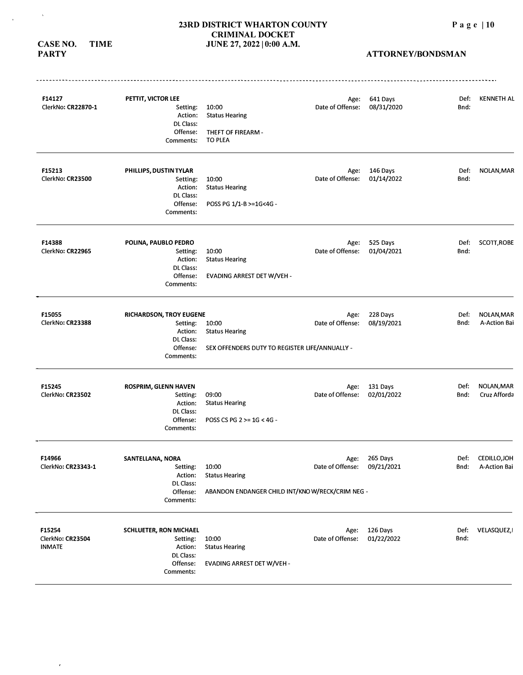**CASE NO. TIME PARTY** 

 $\hat{r}$ 

 $\hat{\mathbf{v}}$ 

 $\mathcal{A}^{\mathcal{A}}$ 

| F14127<br>ClerkNo: CR22870-1                | PETTIT, VICTOR LEE<br>Setting:<br>Action:<br>DL Class:<br>Offense:<br>Comments:             | 10:00<br><b>Status Hearing</b><br>THEFT OF FIREARM -<br><b>TO PLEA</b>            | Age:<br>Date of Offense: | 641 Days<br>08/31/2020 | Def:<br>Bnd: | <b>KENNETH AL</b>            |
|---------------------------------------------|---------------------------------------------------------------------------------------------|-----------------------------------------------------------------------------------|--------------------------|------------------------|--------------|------------------------------|
| F15213<br>ClerkNo: CR23500                  | PHILLIPS, DUSTIN TYLAR<br>Setting:<br>Action:<br>DL Class:<br>Offense:<br>Comments:         | 10:00<br><b>Status Hearing</b><br>POSS PG 1/1-B >=1G<4G -                         | Age:<br>Date of Offense: | 146 Days<br>01/14/2022 | Def:<br>Bnd: | NOLAN, MAR                   |
| F14388<br>ClerkNo: CR22965                  | POLINA, PAUBLO PEDRO<br>Setting:<br>Action:<br><b>DL</b> Class:<br>Offense:<br>Comments:    | 10:00<br><b>Status Hearing</b><br>EVADING ARREST DET W/VEH -                      | Age:<br>Date of Offense: | 525 Days<br>01/04/2021 | Def:<br>Bnd: | SCOTT, ROBE                  |
| F15055<br>ClerkNo: CR23388                  | <b>RICHARDSON, TROY EUGENE</b><br>Setting:<br>Action:<br>DL Class:<br>Offense:<br>Comments: | 10:00<br><b>Status Hearing</b><br>SEX OFFENDERS DUTY TO REGISTER LIFE/ANNUALLY -  | Age:<br>Date of Offense: | 228 Days<br>08/19/2021 | Def:<br>Bnd: | NOLAN, MAR<br>A-Action Bai   |
| F15245<br>ClerkNo: CR23502                  | ROSPRIM, GLENN HAVEN<br>Setting:<br>Action:<br>DL Class:<br>Offense:<br>Comments:           | 09:00<br><b>Status Hearing</b><br>POSS CS PG 2 >= 1G < 4G -                       | Age:<br>Date of Offense: | 131 Days<br>02/01/2022 | Def:<br>Bnd: | NOLAN, MAR<br>Cruz Afforda   |
| F14966<br>ClerkNo: CR23343-1                | SANTELLANA, NORA<br>Setting:<br>Action:<br>DL Class:<br>Offense:<br>Comments:               | 10:00<br><b>Status Hearing</b><br>ABANDON ENDANGER CHILD INT/KNOW/RECK/CRIM NEG - | Age:<br>Date of Offense: | 265 Days<br>09/21/2021 | Def:<br>Bnd: | CEDILLO, JOH<br>A-Action Bai |
| F15254<br>ClerkNo: CR23504<br><b>INMATE</b> | <b>SCHLUETER, RON MICHAEL</b><br>Setting:<br>Action:<br>DL Class:<br>Offense:<br>Comments:  | 10:00<br><b>Status Hearing</b><br><b>EVADING ARREST DET W/VEH-</b>                | Age:<br>Date of Offense: | 126 Days<br>01/22/2022 | Def:<br>Bnd: | VELASQUEZ,                   |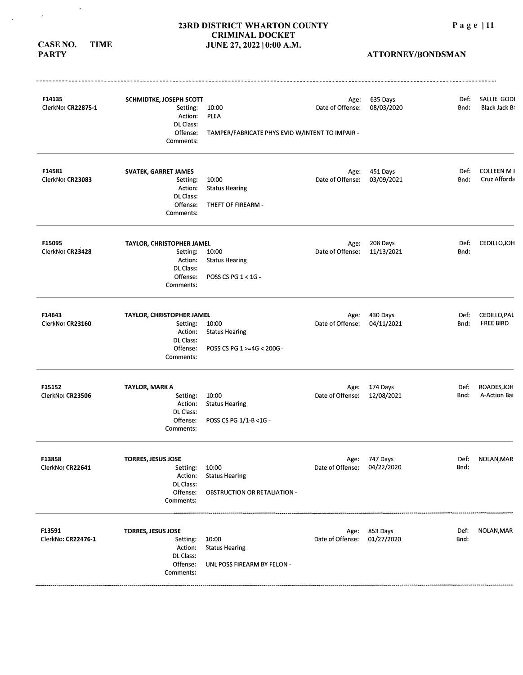**CASE NO. TIME PARTY** 

 $\sim$ 

 $\mathcal{L}^{\mathcal{L}}$ 

 $\hat{\mathbf{v}}$ 

| F14135<br>ClerkNo: CR22875-1 | SCHMIDTKE, JOSEPH SCOTT<br>Setting:<br>Action:<br>DL Class:<br>Offense:<br>Comments:   | 10:00<br>PLEA<br>TAMPER/FABRICATE PHYS EVID W/INTENT TO IMPAIR -      | Age:<br>Date of Offense: | 635 Days<br>08/03/2020      | Def:<br>Bnd: | SALLIE GODI<br><b>Black Jack Bi</b> |
|------------------------------|----------------------------------------------------------------------------------------|-----------------------------------------------------------------------|--------------------------|-----------------------------|--------------|-------------------------------------|
| F14581<br>ClerkNo: CR23083   | SVATEK, GARRET JAMES<br>Setting:<br>Action:<br>DL Class:<br>Offense:<br>Comments:      | 10:00<br><b>Status Hearing</b><br>THEFT OF FIREARM -                  | Age:<br>Date of Offense: | 451 Days<br>03/09/2021      | Def:<br>Bnd: | <b>COLLEEN M I</b><br>Cruz Afforda  |
| F15095<br>ClerkNo: CR23428   | TAYLOR, CHRISTOPHER JAMEL<br>Setting:<br>Action:<br>DL Class:<br>Offense:<br>Comments: | 10:00<br><b>Status Hearing</b><br>POSS CS PG 1 < 1G -                 | Age:<br>Date of Offense: | 208 Days<br>11/13/2021      | Def:<br>Bnd: | CEDILLO, JOH                        |
| F14643<br>ClerkNo: CR23160   | TAYLOR, CHRISTOPHER JAMEL<br>Setting:<br>Action:<br>DL Class:<br>Offense:<br>Comments: | 10:00<br><b>Status Hearing</b><br>POSS CS PG 1 >=4G < 200G -          | Age:<br>Date of Offense: | 430 Days<br>04/11/2021      | Def:<br>Bnd: | CEDILLO, PAL<br><b>FREE BIRD</b>    |
| F15152<br>ClerkNo: CR23506   | <b>TAYLOR, MARK A</b><br>Setting:<br>Action:<br>DL Class:<br>Offense:<br>Comments:     | 10:00<br><b>Status Hearing</b><br>POSS CS PG 1/1-B < 1G -             | Age:<br>Date of Offense: | 174 Days<br>12/08/2021      | Def:<br>Bnd: | ROADES, JOH<br>A-Action Bai         |
| F13858<br>ClerkNo: CR22641   | <b>TORRES, JESUS JOSE</b><br>Setting:<br>Action:<br>DL Class:<br>Offense:<br>Comments: | 10:00<br><b>Status Hearing</b><br><b>OBSTRUCTION OR RETALIATION -</b> | Date of Offense:         | Age: 747 Days<br>04/22/2020 | Def:<br>Bnd: | NOLAN, MAR                          |
| F13591<br>ClerkNo: CR22476-1 | <b>TORRES, JESUS JOSE</b><br>Setting:<br>Action:<br>DL Class:<br>Offense:<br>Comments: | 10:00<br><b>Status Hearing</b><br>UNL POSS FIREARM BY FELON -         | Date of Offense:         | Age: 853 Days<br>01/27/2020 | Def:<br>Bnd: | NOLAN, MAR                          |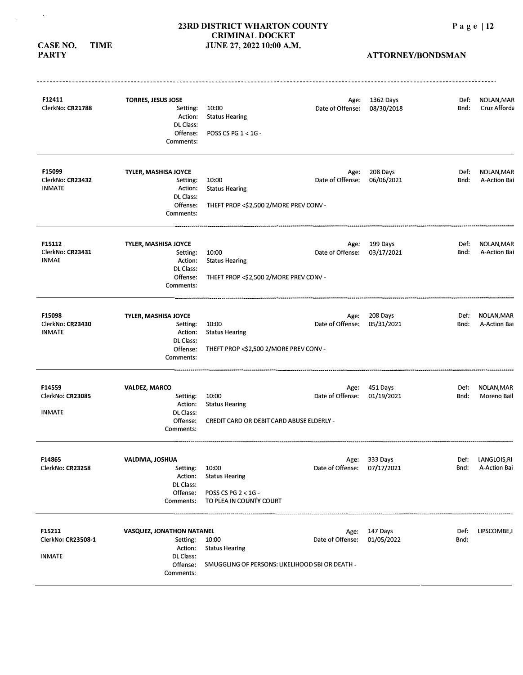#### **CASE NO. TIME PARTY**

 $\sim$   $\sim$ 

 $\mathcal{A}$ 

| F12411<br>ClerkNo: CR21788        | <b>TORRES, JESUS JOSE</b><br>Setting:<br>Action: | 10:00<br><b>Status Hearing</b>                                           | Age:<br>Date of Offense:    | 1362 Days<br>08/30/2018 | Def:<br>Bnd: | NOLAN, MAR<br>Cruz Afforda |
|-----------------------------------|--------------------------------------------------|--------------------------------------------------------------------------|-----------------------------|-------------------------|--------------|----------------------------|
|                                   | DL Class:<br>Offense:<br>Comments:               | POSS CS PG 1 < 1G -                                                      |                             |                         |              |                            |
| F15099                            | TYLER, MASHISA JOYCE                             |                                                                          | Age:                        | 208 Days                | Def:         | NOLAN, MAR                 |
| ClerkNo: CR23432                  | Setting:                                         | 10:00                                                                    | Date of Offense:            | 06/06/2021              | Bnd:         | A-Action Bai               |
| <b>INMATE</b>                     | Action:<br>DL Class:                             | <b>Status Hearing</b>                                                    |                             |                         |              |                            |
|                                   | Offense:<br>Comments:                            | THEFT PROP <\$2,500 2/MORE PREV CONV -                                   |                             |                         |              |                            |
| F15112                            | TYLER, MASHISA JOYCE                             |                                                                          | Age:                        | 199 Days                | Def:         | NOLAN, MAR                 |
| ClerkNo: CR23431<br><b>INMAE</b>  | Setting:                                         | 10:00                                                                    | Date of Offense:            | 03/17/2021              | Bnd:         | A-Action Bai               |
|                                   | Action:<br>DL Class:                             | <b>Status Hearing</b>                                                    |                             |                         |              |                            |
|                                   | Offense:<br>Comments:                            | THEFT PROP <\$2,500 2/MORE PREV CONV -                                   |                             |                         |              |                            |
| F15098                            | TYLER, MASHISA JOYCE                             |                                                                          | Age:                        | 208 Days                | Def:         | NOLAN, MAR                 |
| ClerkNo: CR23430<br><b>INMATE</b> | Setting:<br>Action:                              | 10:00<br><b>Status Hearing</b>                                           | Date of Offense:            | 05/31/2021              | Bnd:         | A-Action Bai               |
|                                   | DL Class:<br>Offense:<br>Comments:               | THEFT PROP <\$2,500 2/MORE PREV CONV -                                   |                             |                         |              |                            |
| F14559                            | <b>VALDEZ, MARCO</b>                             |                                                                          | Age:                        | 451 Days                | Def:         | NOLAN, MAR                 |
| ClerkNo: CR23085                  | Setting:                                         | 10:00                                                                    | Date of Offense:            | 01/19/2021              | Bnd:         | Moreno Bail                |
|                                   | Action:                                          | <b>Status Hearing</b>                                                    |                             |                         |              |                            |
| <b>INMATE</b>                     | <b>DL Class:</b><br>Offense:<br>Comments:        | <b>CREDIT CARD OR DEBIT CARD ABUSE ELDERLY -</b>                         |                             |                         |              |                            |
| <b>F14865</b>                     | VALDIVIA, JOSHUA                                 |                                                                          |                             | Age: 333 Days           | Def:         | LANGLOIS, RI               |
| ClerkNo: CR23258                  | Setting:                                         | 10:00                                                                    | Date of Offense: 07/17/2021 |                         | Bnd:         | A-Action Bai               |
|                                   | Action:                                          | <b>Status Hearing</b>                                                    |                             |                         |              |                            |
|                                   | DL Class:<br>Offense:                            | POSS CS PG 2 < 1G -                                                      |                             |                         |              |                            |
|                                   | Comments:                                        | TO PLEA IN COUNTY COURT                                                  |                             |                         |              |                            |
| F15211                            | VASQUEZ, JONATHON NATANEL                        |                                                                          | Age:                        | 147 Days                | Def:         | LIPSCOMBE, I               |
| ClerkNo: CR23508-1                | Setting:                                         | 10:00                                                                    | Date of Offense:            | 01/05/2022              | Bnd:         |                            |
| <b>INMATE</b>                     | Action:<br>DL Class:<br>Offense:<br>Comments:    | <b>Status Hearing</b><br>SMUGGLING OF PERSONS: LIKELIHOOD SBI OR DEATH - |                             |                         |              |                            |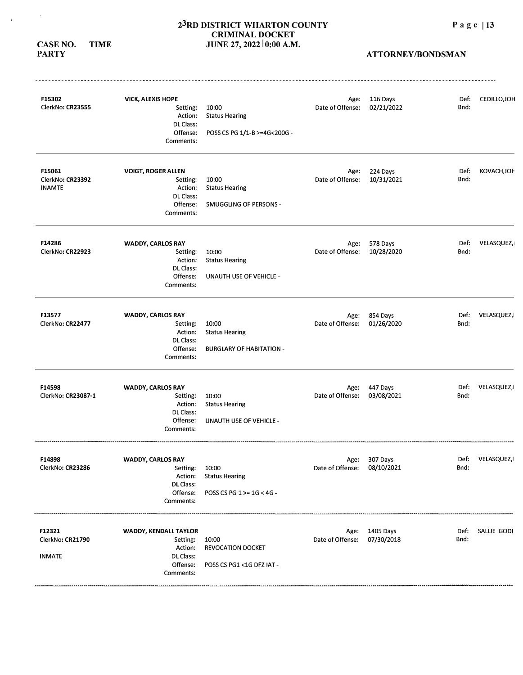**CASE NO. TIME PARTY** 

 $\sim 100$ 

 $\mathcal{A}^{\mathcal{A}}$ 

| F15302<br>ClerkNo: CR23555                  | <b>VICK, ALEXIS HOPE</b><br>Setting:<br>Action:<br>DL Class:<br>Offense:<br>Comments:  | 10:00<br><b>Status Hearing</b><br>POSS CS PG 1/1-B >=4G<200G -    | Date of Offense:         | Age: 116 Days<br>02/21/2022  | Def:<br>Bnd: | CEDILLO, JOH      |
|---------------------------------------------|----------------------------------------------------------------------------------------|-------------------------------------------------------------------|--------------------------|------------------------------|--------------|-------------------|
| F15061<br>ClerkNo: CR23392<br><b>INAMTE</b> | <b>VOIGT, ROGER ALLEN</b><br>Setting:<br>Action:<br>DL Class:<br>Offense:<br>Comments: | 10:00<br><b>Status Hearing</b><br>SMUGGLING OF PERSONS -          | Age:<br>Date of Offense: | 224 Days<br>10/31/2021       | Def:<br>Bnd: | KOVACH, JOI-      |
| F14286<br>ClerkNo: CR22923                  | WADDY, CARLOS RAY<br>Setting:<br>Action:<br>DL Class:<br>Offense:<br>Comments:         | 10:00<br><b>Status Hearing</b><br>UNAUTH USE OF VEHICLE -         | Age:<br>Date of Offense: | 578 Days<br>10/28/2020       | Def:<br>Bnd: | VELASQUEZ,        |
| F13577<br>ClerkNo: CR22477                  | <b>WADDY, CARLOS RAY</b><br>Setting:<br>Action:<br>DL Class:<br>Offense:<br>Comments:  | 10:00<br><b>Status Hearing</b><br><b>BURGLARY OF HABITATION -</b> | Age:<br>Date of Offense: | 854 Days<br>01/26/2020       | Def:<br>Bnd: | VELASQUEZ,        |
| F14598<br>ClerkNo: CR23087-1                | <b>WADDY, CARLOS RAY</b><br>Setting:<br>Action:<br>DL Class:<br>Offense:<br>Comments:  | 10:00<br><b>Status Hearing</b><br>UNAUTH USE OF VEHICLE -         | Age:<br>Date of Offense: | 447 Days<br>03/08/2021       | Def:<br>Bnd: | VELASQUEZ,        |
| F14898<br>ClerkNo: CR23286                  | WADDY, CARLOS RAY<br>Setting:<br>Action:<br><b>DL Class:</b><br>Offense:<br>Comments:  | 10:00<br><b>Status Hearing</b><br>POSS CS PG 1 >= 1G < 4G -       | Date of Offense:         | Age: 307 Days<br>08/10/2021  | Def:<br>Bnd: | <b>VELASQUEZ,</b> |
| F12321<br>ClerkNo: CR21790<br><b>INMATE</b> | WADDY, KENDALL TAYLOR<br>Setting:<br>Action:<br>DL Class:<br>Offense:<br>Comments:     | 10:00<br>REVOCATION DOCKET<br>POSS CS PG1 <1G DFZ IAT -           | Date of Offense:         | Age: 1405 Days<br>07/30/2018 | Def:<br>Bnd: | SALLIE GODI       |